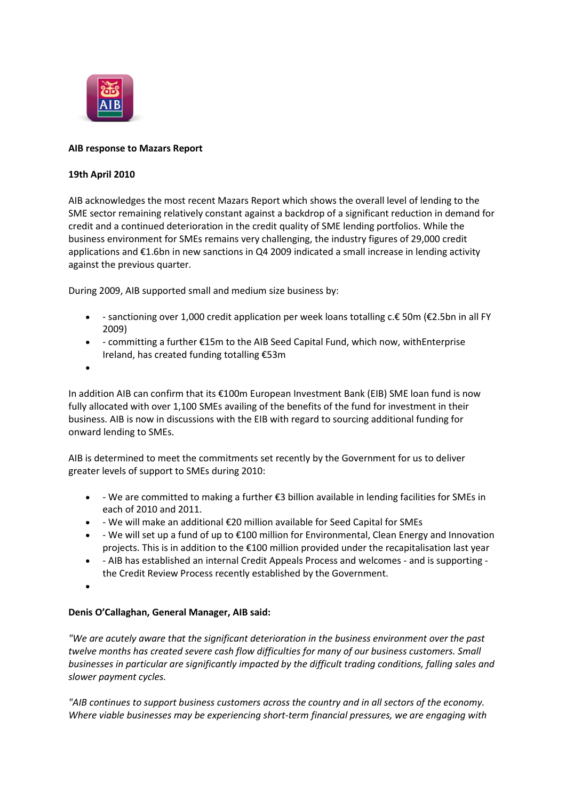

## **AIB response to Mazars Report**

## **19th April 2010**

AIB acknowledges the most recent Mazars Report which shows the overall level of lending to the SME sector remaining relatively constant against a backdrop of a significant reduction in demand for credit and a continued deterioration in the credit quality of SME lending portfolios. While the business environment for SMEs remains very challenging, the industry figures of 29,000 credit applications and €1.6bn in new sanctions in Q4 2009 indicated a small increase in lending activity against the previous quarter.

During 2009, AIB supported small and medium size business by:

- sanctioning over 1,000 credit application per week loans totalling c.€ 50m (€2.5bn in all FY 2009)
- committing a further €15m to the AIB Seed Capital Fund, which now, withEnterprise Ireland, has created funding totalling €53m
- $\bullet$

In addition AIB can confirm that its €100m European Investment Bank (EIB) SME loan fund is now fully allocated with over 1,100 SMEs availing of the benefits of the fund for investment in their business. AIB is now in discussions with the EIB with regard to sourcing additional funding for onward lending to SMEs.

AIB is determined to meet the commitments set recently by the Government for us to deliver greater levels of support to SMEs during 2010:

- We are committed to making a further €3 billion available in lending facilities for SMEs in each of 2010 and 2011.
- We will make an additional €20 million available for Seed Capital for SMEs
- We will set up a fund of up to €100 million for Environmental, Clean Energy and Innovation projects. This is in addition to the €100 million provided under the recapitalisation last year
- AIB has established an internal Credit Appeals Process and welcomes and is supporting the Credit Review Process recently established by the Government.
- $\bullet$

## **Denis O'Callaghan, General Manager, AIB said:**

*"We are acutely aware that the significant deterioration in the business environment over the past twelve months has created severe cash flow difficulties for many of our business customers. Small businesses in particular are significantly impacted by the difficult trading conditions, falling sales and slower payment cycles.*

*"AIB continues to support business customers across the country and in all sectors of the economy. Where viable businesses may be experiencing short-term financial pressures, we are engaging with*